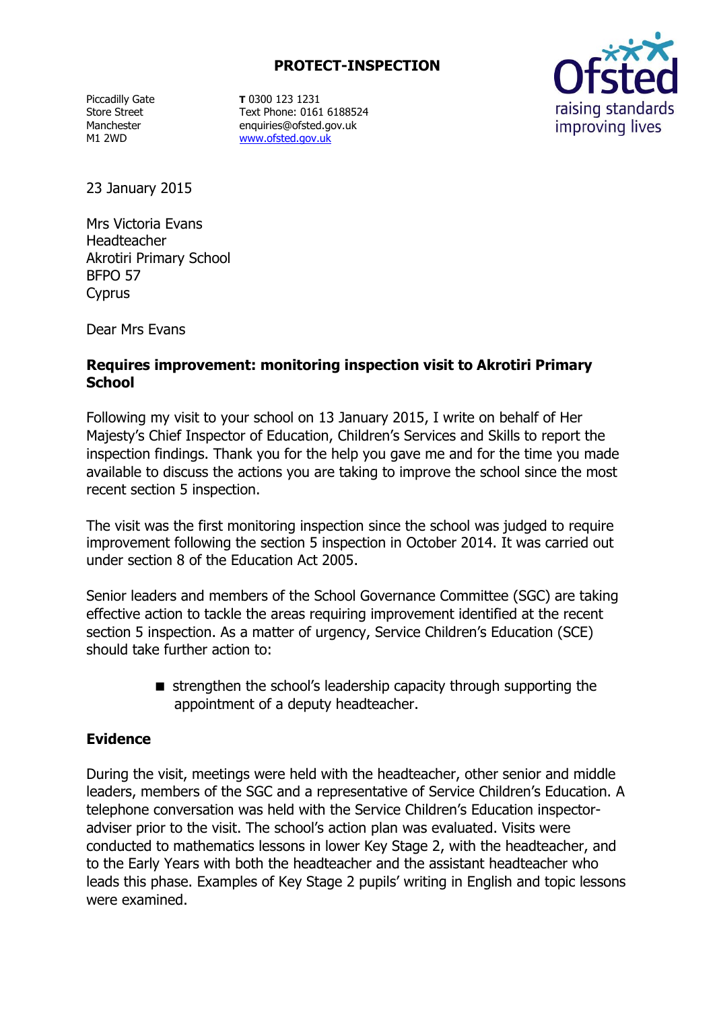## **PROTECT-INSPECTION**

Piccadilly Gate Store Street Manchester M1 2WD

**T** 0300 123 1231 Text Phone: 0161 6188524 enquiries@ofsted.gov.uk [www.ofsted.gov.uk](http://www.ofsted.gov.uk/)



23 January 2015

Mrs Victoria Evans Headteacher Akrotiri Primary School BFPO 57 Cyprus

Dear Mrs Evans

## **Requires improvement: monitoring inspection visit to Akrotiri Primary School**

Following my visit to your school on 13 January 2015, I write on behalf of Her Majesty's Chief Inspector of Education, Children's Services and Skills to report the inspection findings. Thank you for the help you gave me and for the time you made available to discuss the actions you are taking to improve the school since the most recent section 5 inspection.

The visit was the first monitoring inspection since the school was judged to require improvement following the section 5 inspection in October 2014. It was carried out under section 8 of the Education Act 2005.

Senior leaders and members of the School Governance Committee (SGC) are taking effective action to tackle the areas requiring improvement identified at the recent section 5 inspection. As a matter of urgency, Service Children's Education (SCE) should take further action to:

> strengthen the school's leadership capacity through supporting the appointment of a deputy headteacher.

#### **Evidence**

During the visit, meetings were held with the headteacher, other senior and middle leaders, members of the SGC and a representative of Service Children's Education. A telephone conversation was held with the Service Children's Education inspectoradviser prior to the visit. The school's action plan was evaluated. Visits were conducted to mathematics lessons in lower Key Stage 2, with the headteacher, and to the Early Years with both the headteacher and the assistant headteacher who leads this phase. Examples of Key Stage 2 pupils' writing in English and topic lessons were examined.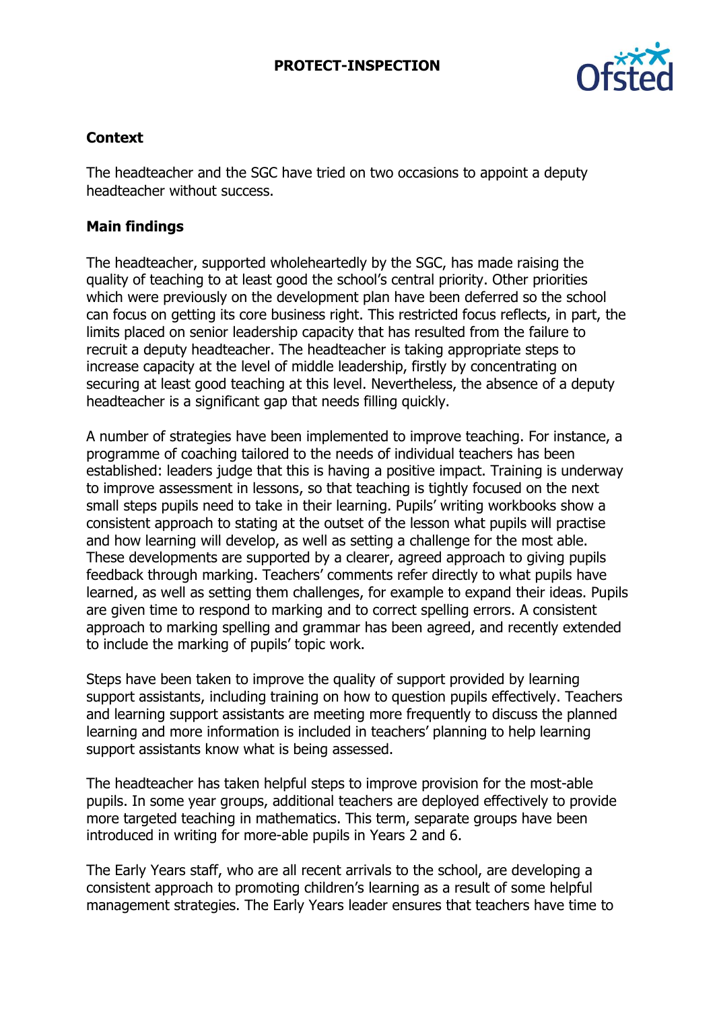### **PROTECT-INSPECTION**



# **Context**

The headteacher and the SGC have tried on two occasions to appoint a deputy headteacher without success.

## **Main findings**

The headteacher, supported wholeheartedly by the SGC, has made raising the quality of teaching to at least good the school's central priority. Other priorities which were previously on the development plan have been deferred so the school can focus on getting its core business right. This restricted focus reflects, in part, the limits placed on senior leadership capacity that has resulted from the failure to recruit a deputy headteacher. The headteacher is taking appropriate steps to increase capacity at the level of middle leadership, firstly by concentrating on securing at least good teaching at this level. Nevertheless, the absence of a deputy headteacher is a significant gap that needs filling quickly.

A number of strategies have been implemented to improve teaching. For instance, a programme of coaching tailored to the needs of individual teachers has been established: leaders judge that this is having a positive impact. Training is underway to improve assessment in lessons, so that teaching is tightly focused on the next small steps pupils need to take in their learning. Pupils' writing workbooks show a consistent approach to stating at the outset of the lesson what pupils will practise and how learning will develop, as well as setting a challenge for the most able. These developments are supported by a clearer, agreed approach to giving pupils feedback through marking. Teachers' comments refer directly to what pupils have learned, as well as setting them challenges, for example to expand their ideas. Pupils are given time to respond to marking and to correct spelling errors. A consistent approach to marking spelling and grammar has been agreed, and recently extended to include the marking of pupils' topic work.

Steps have been taken to improve the quality of support provided by learning support assistants, including training on how to question pupils effectively. Teachers and learning support assistants are meeting more frequently to discuss the planned learning and more information is included in teachers' planning to help learning support assistants know what is being assessed.

The headteacher has taken helpful steps to improve provision for the most-able pupils. In some year groups, additional teachers are deployed effectively to provide more targeted teaching in mathematics. This term, separate groups have been introduced in writing for more-able pupils in Years 2 and 6.

The Early Years staff, who are all recent arrivals to the school, are developing a consistent approach to promoting children's learning as a result of some helpful management strategies. The Early Years leader ensures that teachers have time to